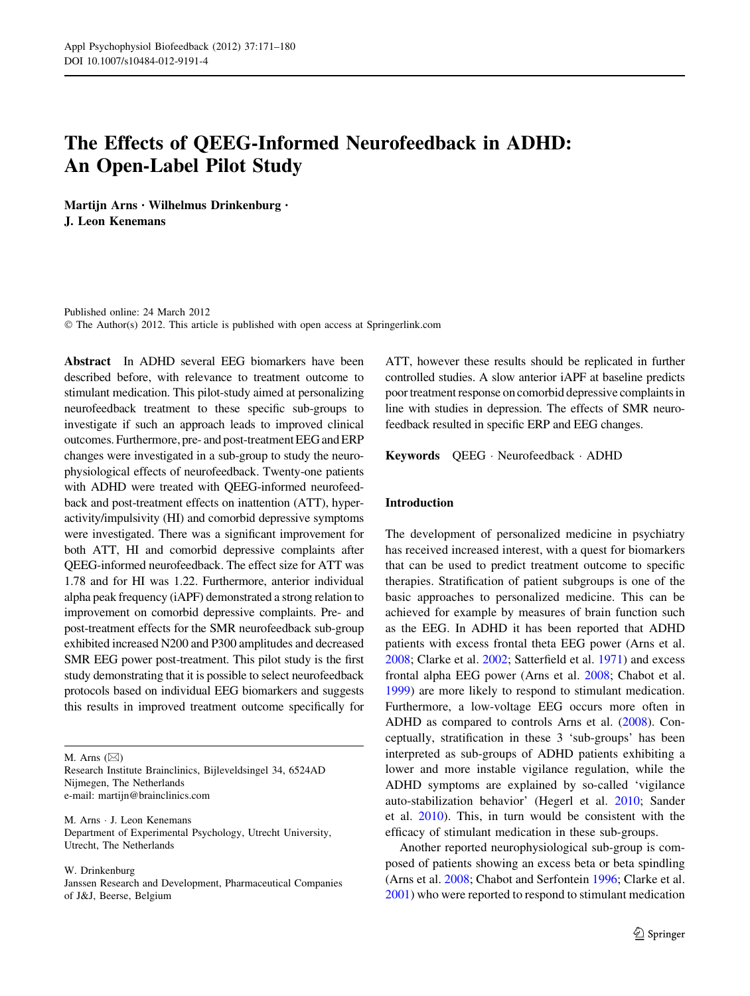# The Effects of QEEG-Informed Neurofeedback in ADHD: An Open-Label Pilot Study

Martijn Arns • Wilhelmus Drinkenburg • J. Leon Kenemans

Published online: 24 March 2012 © The Author(s) 2012. This article is published with open access at Springerlink.com

Abstract In ADHD several EEG biomarkers have been described before, with relevance to treatment outcome to stimulant medication. This pilot-study aimed at personalizing neurofeedback treatment to these specific sub-groups to investigate if such an approach leads to improved clinical outcomes. Furthermore, pre- and post-treatment EEG and ERP changes were investigated in a sub-group to study the neurophysiological effects of neurofeedback. Twenty-one patients with ADHD were treated with QEEG-informed neurofeedback and post-treatment effects on inattention (ATT), hyperactivity/impulsivity (HI) and comorbid depressive symptoms were investigated. There was a significant improvement for both ATT, HI and comorbid depressive complaints after QEEG-informed neurofeedback. The effect size for ATT was 1.78 and for HI was 1.22. Furthermore, anterior individual alpha peak frequency (iAPF) demonstrated a strong relation to improvement on comorbid depressive complaints. Pre- and post-treatment effects for the SMR neurofeedback sub-group exhibited increased N200 and P300 amplitudes and decreased SMR EEG power post-treatment. This pilot study is the first study demonstrating that it is possible to select neurofeedback protocols based on individual EEG biomarkers and suggests this results in improved treatment outcome specifically for

M. Arns  $(\boxtimes)$ 

Research Institute Brainclinics, Bijleveldsingel 34, 6524AD Nijmegen, The Netherlands e-mail: martijn@brainclinics.com

M. Arns - J. Leon Kenemans Department of Experimental Psychology, Utrecht University, Utrecht, The Netherlands

W. Drinkenburg

Janssen Research and Development, Pharmaceutical Companies of J&J, Beerse, Belgium

ATT, however these results should be replicated in further controlled studies. A slow anterior iAPF at baseline predicts poor treatment response on comorbid depressive complaints in line with studies in depression. The effects of SMR neurofeedback resulted in specific ERP and EEG changes.

Keywords QEEG - Neurofeedback - ADHD

## Introduction

The development of personalized medicine in psychiatry has received increased interest, with a quest for biomarkers that can be used to predict treatment outcome to specific therapies. Stratification of patient subgroups is one of the basic approaches to personalized medicine. This can be achieved for example by measures of brain function such as the EEG. In ADHD it has been reported that ADHD patients with excess frontal theta EEG power (Arns et al. [2008](#page-8-0); Clarke et al. [2002](#page-8-0); Satterfield et al. [1971](#page-9-0)) and excess frontal alpha EEG power (Arns et al. [2008](#page-8-0); Chabot et al. [1999](#page-8-0)) are more likely to respond to stimulant medication. Furthermore, a low-voltage EEG occurs more often in ADHD as compared to controls Arns et al. [\(2008](#page-8-0)). Conceptually, stratification in these 3 'sub-groups' has been interpreted as sub-groups of ADHD patients exhibiting a lower and more instable vigilance regulation, while the ADHD symptoms are explained by so-called 'vigilance auto-stabilization behavior' (Hegerl et al. [2010](#page-8-0); Sander et al. [2010](#page-9-0)). This, in turn would be consistent with the efficacy of stimulant medication in these sub-groups.

Another reported neurophysiological sub-group is composed of patients showing an excess beta or beta spindling (Arns et al. [2008](#page-8-0); Chabot and Serfontein [1996](#page-8-0); Clarke et al. [2001](#page-8-0)) who were reported to respond to stimulant medication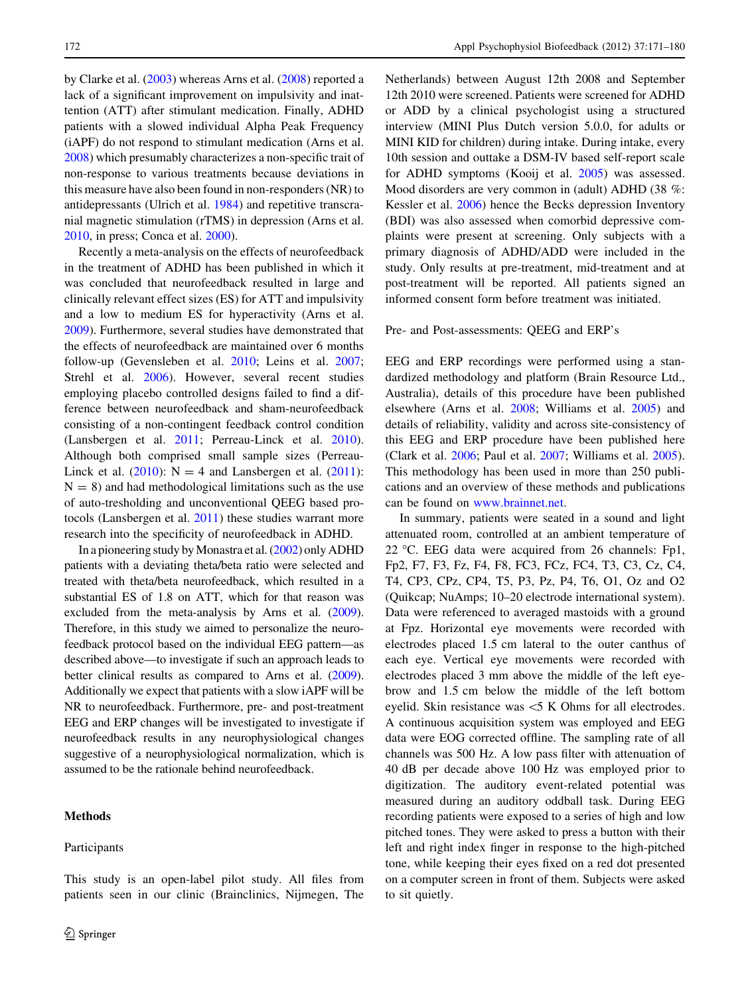by Clarke et al. ([2003\)](#page-8-0) whereas Arns et al. ([2008\)](#page-8-0) reported a lack of a significant improvement on impulsivity and inattention (ATT) after stimulant medication. Finally, ADHD patients with a slowed individual Alpha Peak Frequency (iAPF) do not respond to stimulant medication (Arns et al. [2008\)](#page-8-0) which presumably characterizes a non-specific trait of non-response to various treatments because deviations in this measure have also been found in non-responders (NR) to antidepressants (Ulrich et al. [1984\)](#page-9-0) and repetitive transcranial magnetic stimulation (rTMS) in depression (Arns et al. [2010,](#page-8-0) in press; Conca et al. [2000](#page-8-0)).

Recently a meta-analysis on the effects of neurofeedback in the treatment of ADHD has been published in which it was concluded that neurofeedback resulted in large and clinically relevant effect sizes (ES) for ATT and impulsivity and a low to medium ES for hyperactivity (Arns et al. [2009\)](#page-8-0). Furthermore, several studies have demonstrated that the effects of neurofeedback are maintained over 6 months follow-up (Gevensleben et al. [2010](#page-8-0); Leins et al. [2007](#page-9-0); Strehl et al. [2006](#page-9-0)). However, several recent studies employing placebo controlled designs failed to find a difference between neurofeedback and sham-neurofeedback consisting of a non-contingent feedback control condition (Lansbergen et al. [2011;](#page-9-0) Perreau-Linck et al. [2010](#page-9-0)). Although both comprised small sample sizes (Perreau-Linck et al.  $(2010)$  $(2010)$ : N = 4 and Lansbergen et al.  $(2011)$  $(2011)$ :  $N = 8$ ) and had methodological limitations such as the use of auto-tresholding and unconventional QEEG based protocols (Lansbergen et al. [2011](#page-8-0)) these studies warrant more research into the specificity of neurofeedback in ADHD.

In a pioneering study by Monastra et al. [\(2002\)](#page-9-0) only ADHD patients with a deviating theta/beta ratio were selected and treated with theta/beta neurofeedback, which resulted in a substantial ES of 1.8 on ATT, which for that reason was excluded from the meta-analysis by Arns et al. ([2009](#page-8-0)). Therefore, in this study we aimed to personalize the neurofeedback protocol based on the individual EEG pattern—as described above—to investigate if such an approach leads to better clinical results as compared to Arns et al. ([2009](#page-8-0)). Additionally we expect that patients with a slow iAPF will be NR to neurofeedback. Furthermore, pre- and post-treatment EEG and ERP changes will be investigated to investigate if neurofeedback results in any neurophysiological changes suggestive of a neurophysiological normalization, which is assumed to be the rationale behind neurofeedback.

## Methods

Participants

This study is an open-label pilot study. All files from patients seen in our clinic (Brainclinics, Nijmegen, The Netherlands) between August 12th 2008 and September 12th 2010 were screened. Patients were screened for ADHD or ADD by a clinical psychologist using a structured interview (MINI Plus Dutch version 5.0.0, for adults or MINI KID for children) during intake. During intake, every 10th session and outtake a DSM-IV based self-report scale for ADHD symptoms (Kooij et al. [2005\)](#page-8-0) was assessed. Mood disorders are very common in (adult) ADHD (38 %: Kessler et al. [2006\)](#page-8-0) hence the Becks depression Inventory (BDI) was also assessed when comorbid depressive complaints were present at screening. Only subjects with a primary diagnosis of ADHD/ADD were included in the study. Only results at pre-treatment, mid-treatment and at post-treatment will be reported. All patients signed an informed consent form before treatment was initiated.

## Pre- and Post-assessments: QEEG and ERP's

EEG and ERP recordings were performed using a standardized methodology and platform (Brain Resource Ltd., Australia), details of this procedure have been published elsewhere (Arns et al. [2008](#page-8-0); Williams et al. [2005\)](#page-9-0) and details of reliability, validity and across site-consistency of this EEG and ERP procedure have been published here (Clark et al. [2006](#page-8-0); Paul et al. [2007;](#page-9-0) Williams et al. [2005](#page-9-0)). This methodology has been used in more than 250 publications and an overview of these methods and publications can be found on [www.brainnet.net.](http://www.brainnet.net)

In summary, patients were seated in a sound and light attenuated room, controlled at an ambient temperature of 22 °C. EEG data were acquired from 26 channels: Fp1, Fp2, F7, F3, Fz, F4, F8, FC3, FCz, FC4, T3, C3, Cz, C4, T4, CP3, CPz, CP4, T5, P3, Pz, P4, T6, O1, Oz and O2 (Quikcap; NuAmps; 10–20 electrode international system). Data were referenced to averaged mastoids with a ground at Fpz. Horizontal eye movements were recorded with electrodes placed 1.5 cm lateral to the outer canthus of each eye. Vertical eye movements were recorded with electrodes placed 3 mm above the middle of the left eyebrow and 1.5 cm below the middle of the left bottom eyelid. Skin resistance was  $\leq$  K Ohms for all electrodes. A continuous acquisition system was employed and EEG data were EOG corrected offline. The sampling rate of all channels was 500 Hz. A low pass filter with attenuation of 40 dB per decade above 100 Hz was employed prior to digitization. The auditory event-related potential was measured during an auditory oddball task. During EEG recording patients were exposed to a series of high and low pitched tones. They were asked to press a button with their left and right index finger in response to the high-pitched tone, while keeping their eyes fixed on a red dot presented on a computer screen in front of them. Subjects were asked to sit quietly.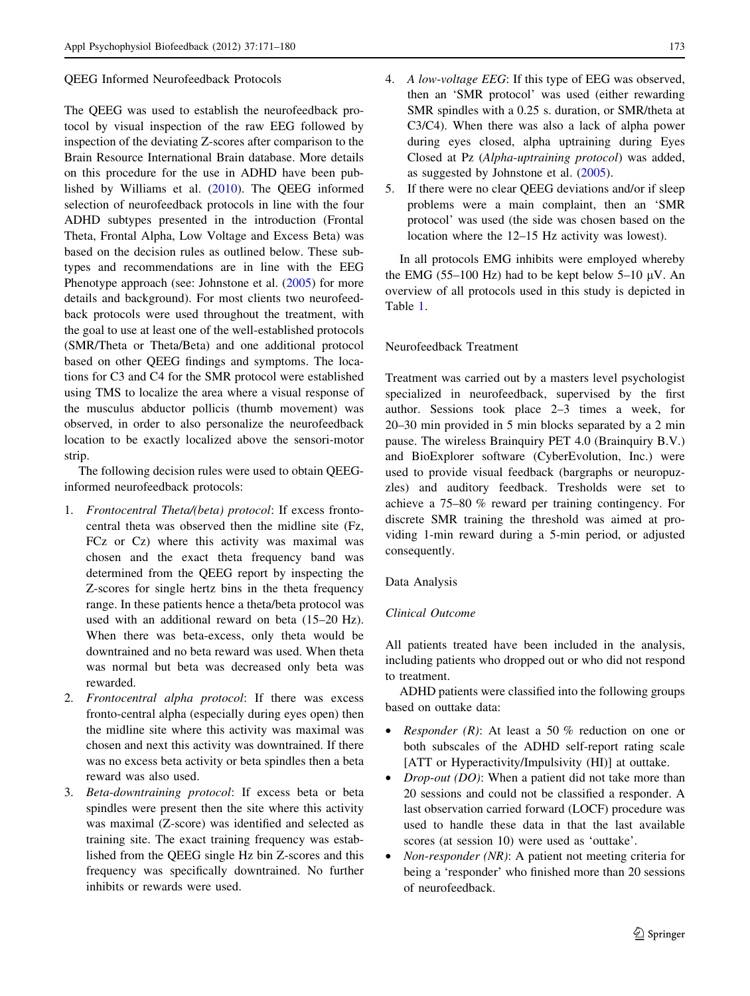## QEEG Informed Neurofeedback Protocols

The QEEG was used to establish the neurofeedback protocol by visual inspection of the raw EEG followed by inspection of the deviating Z-scores after comparison to the Brain Resource International Brain database. More details on this procedure for the use in ADHD have been published by Williams et al. ([2010\)](#page-9-0). The QEEG informed selection of neurofeedback protocols in line with the four ADHD subtypes presented in the introduction (Frontal Theta, Frontal Alpha, Low Voltage and Excess Beta) was based on the decision rules as outlined below. These subtypes and recommendations are in line with the EEG Phenotype approach (see: Johnstone et al.  $(2005)$  $(2005)$  $(2005)$  for more details and background). For most clients two neurofeedback protocols were used throughout the treatment, with the goal to use at least one of the well-established protocols (SMR/Theta or Theta/Beta) and one additional protocol based on other QEEG findings and symptoms. The locations for C3 and C4 for the SMR protocol were established using TMS to localize the area where a visual response of the musculus abductor pollicis (thumb movement) was observed, in order to also personalize the neurofeedback location to be exactly localized above the sensori-motor strip.

The following decision rules were used to obtain QEEGinformed neurofeedback protocols:

- 1. Frontocentral Theta/(beta) protocol: If excess frontocentral theta was observed then the midline site (Fz, FCz or Cz) where this activity was maximal was chosen and the exact theta frequency band was determined from the QEEG report by inspecting the Z-scores for single hertz bins in the theta frequency range. In these patients hence a theta/beta protocol was used with an additional reward on beta (15–20 Hz). When there was beta-excess, only theta would be downtrained and no beta reward was used. When theta was normal but beta was decreased only beta was rewarded.
- 2. Frontocentral alpha protocol: If there was excess fronto-central alpha (especially during eyes open) then the midline site where this activity was maximal was chosen and next this activity was downtrained. If there was no excess beta activity or beta spindles then a beta reward was also used.
- 3. Beta-downtraining protocol: If excess beta or beta spindles were present then the site where this activity was maximal (Z-score) was identified and selected as training site. The exact training frequency was established from the QEEG single Hz bin Z-scores and this frequency was specifically downtrained. No further inhibits or rewards were used.
- 4. A low-voltage EEG: If this type of EEG was observed, then an 'SMR protocol' was used (either rewarding SMR spindles with a 0.25 s. duration, or SMR/theta at C3/C4). When there was also a lack of alpha power during eyes closed, alpha uptraining during Eyes Closed at Pz (Alpha-uptraining protocol) was added, as suggested by Johnstone et al. ([2005](#page-8-0)).
- 5. If there were no clear QEEG deviations and/or if sleep problems were a main complaint, then an 'SMR protocol' was used (the side was chosen based on the location where the 12–15 Hz activity was lowest).

In all protocols EMG inhibits were employed whereby the EMG (55–100 Hz) had to be kept below 5–10  $\mu$ V. An overview of all protocols used in this study is depicted in Table [1](#page-3-0).

## Neurofeedback Treatment

Treatment was carried out by a masters level psychologist specialized in neurofeedback, supervised by the first author. Sessions took place 2–3 times a week, for 20–30 min provided in 5 min blocks separated by a 2 min pause. The wireless Brainquiry PET 4.0 (Brainquiry B.V.) and BioExplorer software (CyberEvolution, Inc.) were used to provide visual feedback (bargraphs or neuropuzzles) and auditory feedback. Tresholds were set to achieve a 75–80 % reward per training contingency. For discrete SMR training the threshold was aimed at providing 1-min reward during a 5-min period, or adjusted consequently.

## Data Analysis

## Clinical Outcome

All patients treated have been included in the analysis, including patients who dropped out or who did not respond to treatment.

ADHD patients were classified into the following groups based on outtake data:

- *Responder* (*R*): At least a 50 % reduction on one or both subscales of the ADHD self-report rating scale [ATT or Hyperactivity/Impulsivity (HI)] at outtake.
- *Drop-out (DO)*: When a patient did not take more than 20 sessions and could not be classified a responder. A last observation carried forward (LOCF) procedure was used to handle these data in that the last available scores (at session 10) were used as 'outtake'.
- *Non-responder (NR)*: A patient not meeting criteria for being a 'responder' who finished more than 20 sessions of neurofeedback.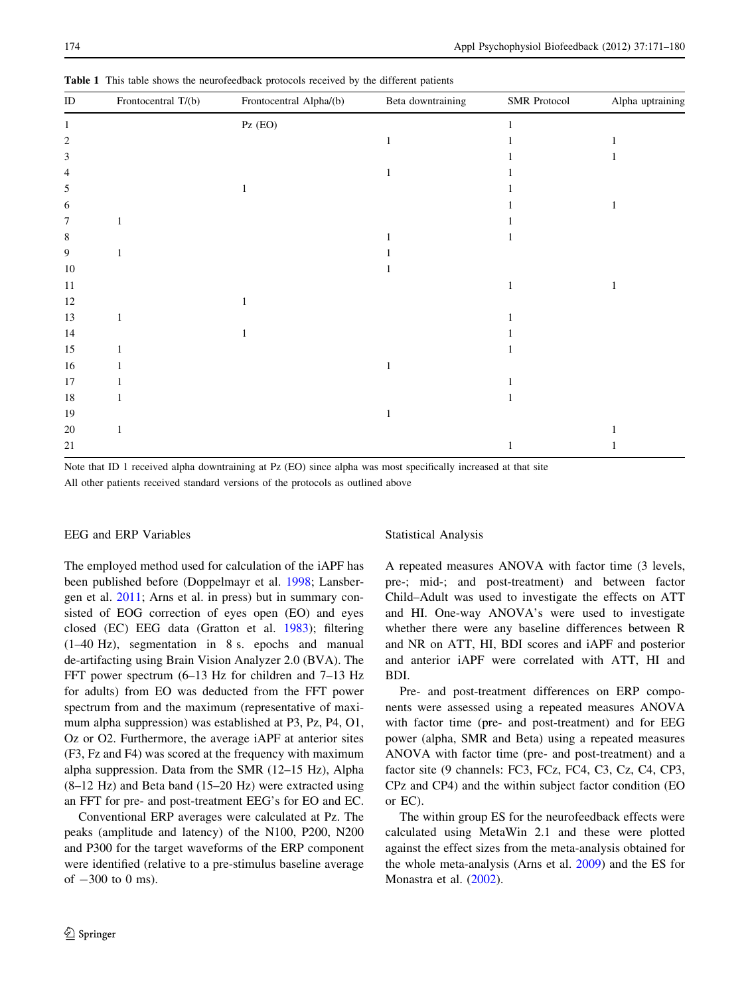| $\rm ID$ | Frontocentral T/(b) | Frontocentral Alpha/(b) | Beta downtraining | <b>SMR</b> Protocol | Alpha uptraining |
|----------|---------------------|-------------------------|-------------------|---------------------|------------------|
| 1        |                     | $\mbox{Pz}$ (EO)        |                   |                     |                  |
| 2        |                     |                         | 1                 |                     |                  |
| 3        |                     |                         |                   |                     |                  |
| 4        |                     |                         |                   |                     |                  |
| 5        |                     |                         |                   |                     |                  |
| 6        |                     |                         |                   |                     |                  |
| 7        |                     |                         |                   |                     |                  |
| 8        |                     |                         |                   |                     |                  |
| 9        |                     |                         |                   |                     |                  |
| 10       |                     |                         |                   |                     |                  |
| 11       |                     |                         |                   |                     |                  |
| $12\,$   |                     |                         |                   |                     |                  |
| 13       |                     |                         |                   |                     |                  |
| 14       |                     |                         |                   |                     |                  |
| 15       |                     |                         |                   |                     |                  |
| 16       |                     |                         |                   |                     |                  |
| $17\,$   |                     |                         |                   |                     |                  |
| $18\,$   |                     |                         |                   |                     |                  |
| 19       |                     |                         |                   |                     |                  |
| $20\,$   | $\mathbf{1}$        |                         |                   |                     |                  |
| $21\,$   |                     |                         |                   |                     |                  |

<span id="page-3-0"></span>Table 1 This table shows the neurofeedback protocols received by the different patients

Note that ID 1 received alpha downtraining at Pz (EO) since alpha was most specifically increased at that site All other patients received standard versions of the protocols as outlined above

## EEG and ERP Variables

The employed method used for calculation of the iAPF has been published before (Doppelmayr et al. [1998](#page-8-0); Lansbergen et al. [2011;](#page-8-0) Arns et al. in press) but in summary consisted of EOG correction of eyes open (EO) and eyes closed (EC) EEG data (Gratton et al. [1983](#page-8-0)); filtering (1–40 Hz), segmentation in 8 s. epochs and manual de-artifacting using Brain Vision Analyzer 2.0 (BVA). The FFT power spectrum (6–13 Hz for children and 7–13 Hz for adults) from EO was deducted from the FFT power spectrum from and the maximum (representative of maximum alpha suppression) was established at P3, Pz, P4, O1, Oz or O2. Furthermore, the average iAPF at anterior sites (F3, Fz and F4) was scored at the frequency with maximum alpha suppression. Data from the SMR (12–15 Hz), Alpha (8–12 Hz) and Beta band (15–20 Hz) were extracted using an FFT for pre- and post-treatment EEG's for EO and EC.

Conventional ERP averages were calculated at Pz. The peaks (amplitude and latency) of the N100, P200, N200 and P300 for the target waveforms of the ERP component were identified (relative to a pre-stimulus baseline average of  $-300$  to 0 ms).

#### Statistical Analysis

A repeated measures ANOVA with factor time (3 levels, pre-; mid-; and post-treatment) and between factor Child–Adult was used to investigate the effects on ATT and HI. One-way ANOVA's were used to investigate whether there were any baseline differences between R and NR on ATT, HI, BDI scores and iAPF and posterior and anterior iAPF were correlated with ATT, HI and BDI.

Pre- and post-treatment differences on ERP components were assessed using a repeated measures ANOVA with factor time (pre- and post-treatment) and for EEG power (alpha, SMR and Beta) using a repeated measures ANOVA with factor time (pre- and post-treatment) and a factor site (9 channels: FC3, FCz, FC4, C3, Cz, C4, CP3, CPz and CP4) and the within subject factor condition (EO or EC).

The within group ES for the neurofeedback effects were calculated using MetaWin 2.1 and these were plotted against the effect sizes from the meta-analysis obtained for the whole meta-analysis (Arns et al. [2009\)](#page-8-0) and the ES for Monastra et al. [\(2002](#page-9-0)).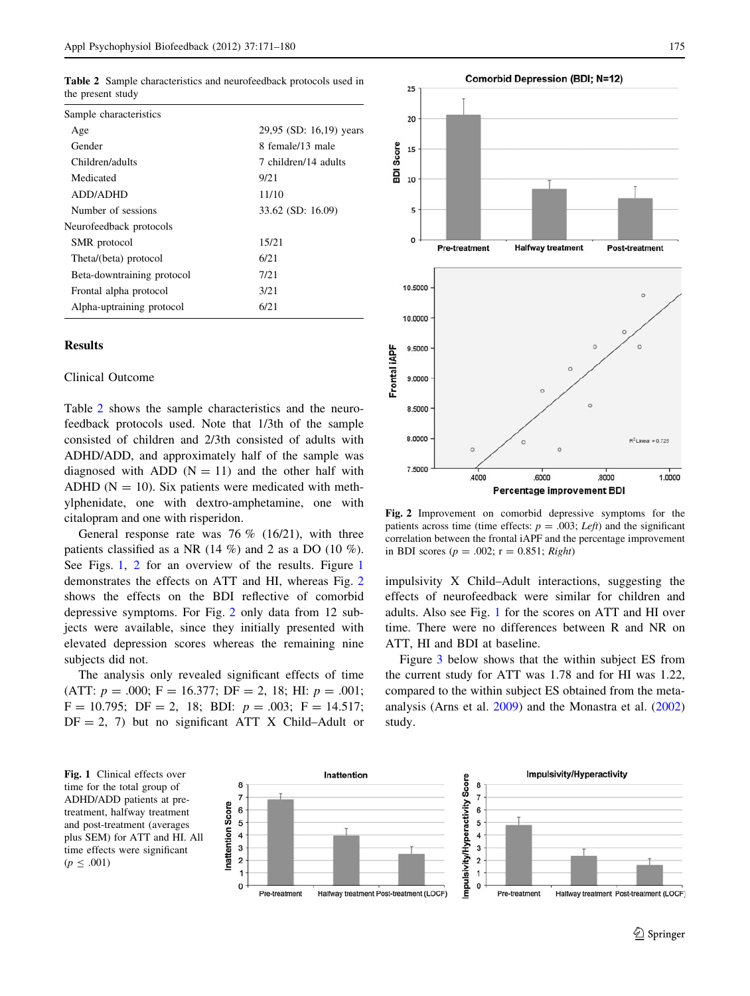<span id="page-4-0"></span>Table 2 Sample characteristics and neurofeedback protocols used in the present study

| Sample characteristics     |                         |  |
|----------------------------|-------------------------|--|
| Age                        | 29,95 (SD: 16,19) years |  |
| Gender                     | 8 female/13 male        |  |
| Children/adults            | 7 children/14 adults    |  |
| Medicated                  | 9/21                    |  |
| ADD/ADHD                   | 11/10                   |  |
| Number of sessions         | 33.62 (SD: 16.09)       |  |
| Neurofeedback protocols    |                         |  |
| SMR protocol               | 15/21                   |  |
| Theta/(beta) protocol      | 6/21                    |  |
| Beta-downtraining protocol | 7/21                    |  |
| Frontal alpha protocol     | 3/21                    |  |
| Alpha-uptraining protocol  | 6/21                    |  |

## Results

#### Clinical Outcome

Table 2 shows the sample characteristics and the neurofeedback protocols used. Note that 1/3th of the sample consisted of children and 2/3th consisted of adults with ADHD/ADD, and approximately half of the sample was diagnosed with ADD  $(N = 11)$  and the other half with ADHD ( $N = 10$ ). Six patients were medicated with methylphenidate, one with dextro-amphetamine, one with citalopram and one with risperidon.

General response rate was  $76\%$  (16/21), with three patients classified as a NR (14  $\%$ ) and 2 as a DO (10  $\%$ ). See Figs. 1, 2 for an overview of the results. Figure 1 demonstrates the effects on ATT and HI, whereas Fig. 2 shows the effects on the BDI reflective of comorbid depressive symptoms. For Fig. 2 only data from 12 subjects were available, since they initially presented with elevated depression scores whereas the remaining nine subjects did not.

The analysis only revealed significant effects of time (ATT:  $p = .000$ ; F = 16.377; DF = 2, 18; HI:  $p = .001$ ;  $F = 10.795$ ; DF = 2, 18; BDI:  $p = .003$ ; F = 14.517;  $DF = 2$ , 7) but no significant ATT X Child–Adult or





 $25$ 

20

 $10$ 

5

**BDI Score**  $15$ 

Fig. 2 Improvement on comorbid depressive symptoms for the patients across time (time effects:  $p = .003$ ; Left) and the significant correlation between the frontal iAPF and the percentage improvement in BDI scores ( $p = .002$ ;  $r = 0.851$ ; Right)

impulsivity X Child–Adult interactions, suggesting the effects of neurofeedback were similar for children and adults. Also see Fig. 1 for the scores on ATT and HI over time. There were no differences between R and NR on ATT, HI and BDI at baseline.

Figure [3](#page-5-0) below shows that the within subject ES from the current study for ATT was 1.78 and for HI was 1.22, compared to the within subject ES obtained from the metaanalysis (Arns et al. [2009\)](#page-8-0) and the Monastra et al. ([2002\)](#page-9-0) study.

Fig. 1 Clinical effects over time for the total group of ADHD/ADD patients at pretreatment, halfway treatment and post-treatment (averages plus SEM) for ATT and HI. All time effects were significant  $(p \le .001)$ 

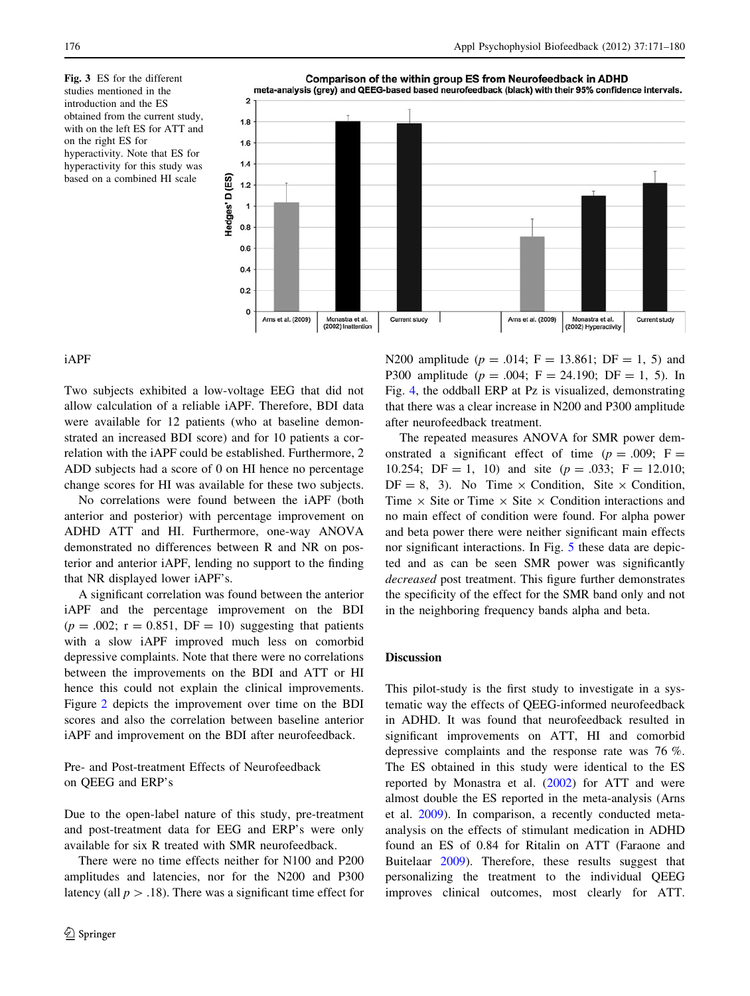<span id="page-5-0"></span>Fig. 3 ES for the different studies mentioned in the introduction and the ES obtained from the current study, with on the left ES for ATT and on the right ES for hyperactivity. Note that ES for hyperactivity for this study was based on a combined HI scale



# iAPF

Two subjects exhibited a low-voltage EEG that did not allow calculation of a reliable iAPF. Therefore, BDI data were available for 12 patients (who at baseline demonstrated an increased BDI score) and for 10 patients a correlation with the iAPF could be established. Furthermore, 2 ADD subjects had a score of 0 on HI hence no percentage change scores for HI was available for these two subjects.

No correlations were found between the iAPF (both anterior and posterior) with percentage improvement on ADHD ATT and HI. Furthermore, one-way ANOVA demonstrated no differences between R and NR on posterior and anterior iAPF, lending no support to the finding that NR displayed lower iAPF's.

A significant correlation was found between the anterior iAPF and the percentage improvement on the BDI  $(p = .002; r = 0.851, DF = 10)$  suggesting that patients with a slow iAPF improved much less on comorbid depressive complaints. Note that there were no correlations between the improvements on the BDI and ATT or HI hence this could not explain the clinical improvements. Figure [2](#page-4-0) depicts the improvement over time on the BDI scores and also the correlation between baseline anterior iAPF and improvement on the BDI after neurofeedback.

# Pre- and Post-treatment Effects of Neurofeedback on QEEG and ERP's

Due to the open-label nature of this study, pre-treatment and post-treatment data for EEG and ERP's were only available for six R treated with SMR neurofeedback.

There were no time effects neither for N100 and P200 amplitudes and latencies, nor for the N200 and P300 latency (all  $p > .18$ ). There was a significant time effect for N200 amplitude ( $p = .014$ ; F = 13.861; DF = 1, 5) and P300 amplitude ( $p = .004$ ; F = 24.190; DF = 1, 5). In Fig. [4](#page-6-0), the oddball ERP at Pz is visualized, demonstrating that there was a clear increase in N200 and P300 amplitude after neurofeedback treatment.

The repeated measures ANOVA for SMR power demonstrated a significant effect of time ( $p = .009$ ; F = 10.254; DF = 1, 10) and site  $(p = .033; F = 12.010;$  $DF = 8$ , 3). No Time  $\times$  Condition, Site  $\times$  Condition, Time  $\times$  Site or Time  $\times$  Site  $\times$  Condition interactions and no main effect of condition were found. For alpha power and beta power there were neither significant main effects nor significant interactions. In Fig. [5](#page-7-0) these data are depicted and as can be seen SMR power was significantly decreased post treatment. This figure further demonstrates the specificity of the effect for the SMR band only and not in the neighboring frequency bands alpha and beta.

## Discussion

This pilot-study is the first study to investigate in a systematic way the effects of QEEG-informed neurofeedback in ADHD. It was found that neurofeedback resulted in significant improvements on ATT, HI and comorbid depressive complaints and the response rate was 76 %. The ES obtained in this study were identical to the ES reported by Monastra et al. [\(2002](#page-9-0)) for ATT and were almost double the ES reported in the meta-analysis (Arns et al. [2009](#page-8-0)). In comparison, a recently conducted metaanalysis on the effects of stimulant medication in ADHD found an ES of 0.84 for Ritalin on ATT (Faraone and Buitelaar [2009\)](#page-8-0). Therefore, these results suggest that personalizing the treatment to the individual QEEG improves clinical outcomes, most clearly for ATT.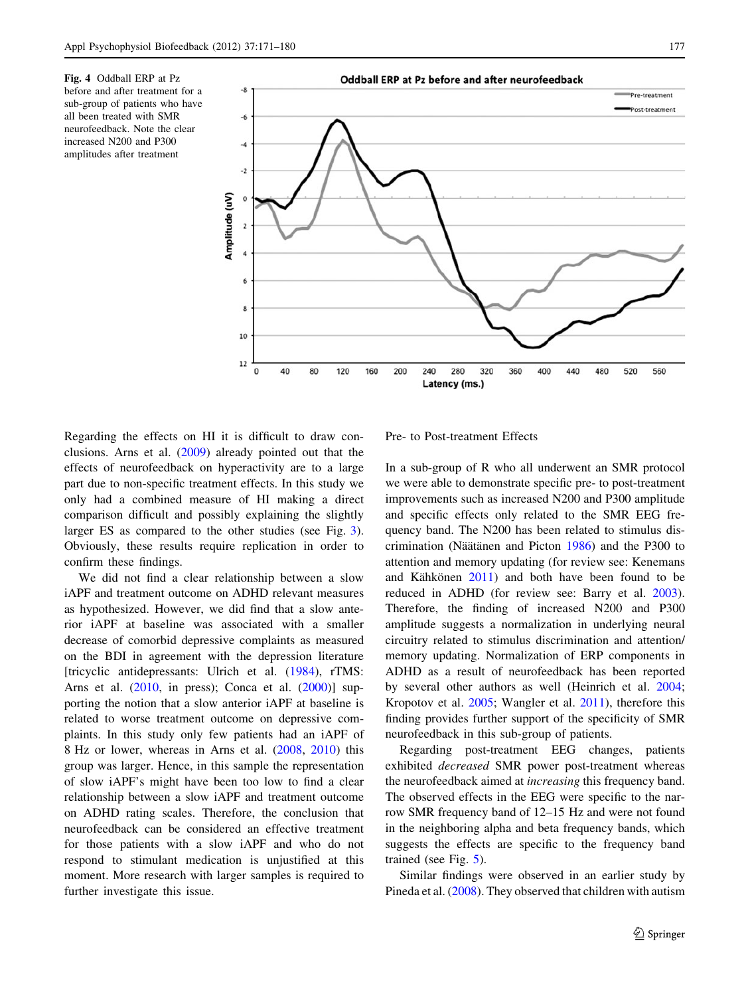<span id="page-6-0"></span>Fig. 4 Oddball ERP at Pz before and after treatment for a sub-group of patients who have all been treated with SMR neurofeedback. Note the clear increased N200 and P300 amplitudes after treatment



Regarding the effects on HI it is difficult to draw conclusions. Arns et al. ([2009\)](#page-8-0) already pointed out that the effects of neurofeedback on hyperactivity are to a large part due to non-specific treatment effects. In this study we only had a combined measure of HI making a direct comparison difficult and possibly explaining the slightly larger ES as compared to the other studies (see Fig. [3](#page-5-0)). Obviously, these results require replication in order to confirm these findings.

We did not find a clear relationship between a slow iAPF and treatment outcome on ADHD relevant measures as hypothesized. However, we did find that a slow anterior iAPF at baseline was associated with a smaller decrease of comorbid depressive complaints as measured on the BDI in agreement with the depression literature [tricyclic antidepressants: Ulrich et al. [\(1984](#page-9-0)), rTMS: Arns et al. [\(2010](#page-8-0), in press); Conca et al. [\(2000](#page-8-0))] supporting the notion that a slow anterior iAPF at baseline is related to worse treatment outcome on depressive complaints. In this study only few patients had an iAPF of 8 Hz or lower, whereas in Arns et al. [\(2008](#page-8-0), [2010\)](#page-8-0) this group was larger. Hence, in this sample the representation of slow iAPF's might have been too low to find a clear relationship between a slow iAPF and treatment outcome on ADHD rating scales. Therefore, the conclusion that neurofeedback can be considered an effective treatment for those patients with a slow iAPF and who do not respond to stimulant medication is unjustified at this moment. More research with larger samples is required to further investigate this issue.

Pre- to Post-treatment Effects

In a sub-group of R who all underwent an SMR protocol we were able to demonstrate specific pre- to post-treatment improvements such as increased N200 and P300 amplitude and specific effects only related to the SMR EEG frequency band. The N200 has been related to stimulus dis-crimination (Näätänen and Picton [1986\)](#page-9-0) and the P300 to attention and memory updating (for review see: Kenemans and Kähkönen  $2011$ ) and both have been found to be reduced in ADHD (for review see: Barry et al. [2003](#page-8-0)). Therefore, the finding of increased N200 and P300 amplitude suggests a normalization in underlying neural circuitry related to stimulus discrimination and attention/ memory updating. Normalization of ERP components in ADHD as a result of neurofeedback has been reported by several other authors as well (Heinrich et al. [2004](#page-8-0); Kropotov et al. [2005](#page-8-0); Wangler et al. [2011\)](#page-9-0), therefore this finding provides further support of the specificity of SMR neurofeedback in this sub-group of patients.

Regarding post-treatment EEG changes, patients exhibited decreased SMR power post-treatment whereas the neurofeedback aimed at increasing this frequency band. The observed effects in the EEG were specific to the narrow SMR frequency band of 12–15 Hz and were not found in the neighboring alpha and beta frequency bands, which suggests the effects are specific to the frequency band trained (see Fig. [5\)](#page-7-0).

Similar findings were observed in an earlier study by Pineda et al. ([2008\)](#page-9-0). They observed that children with autism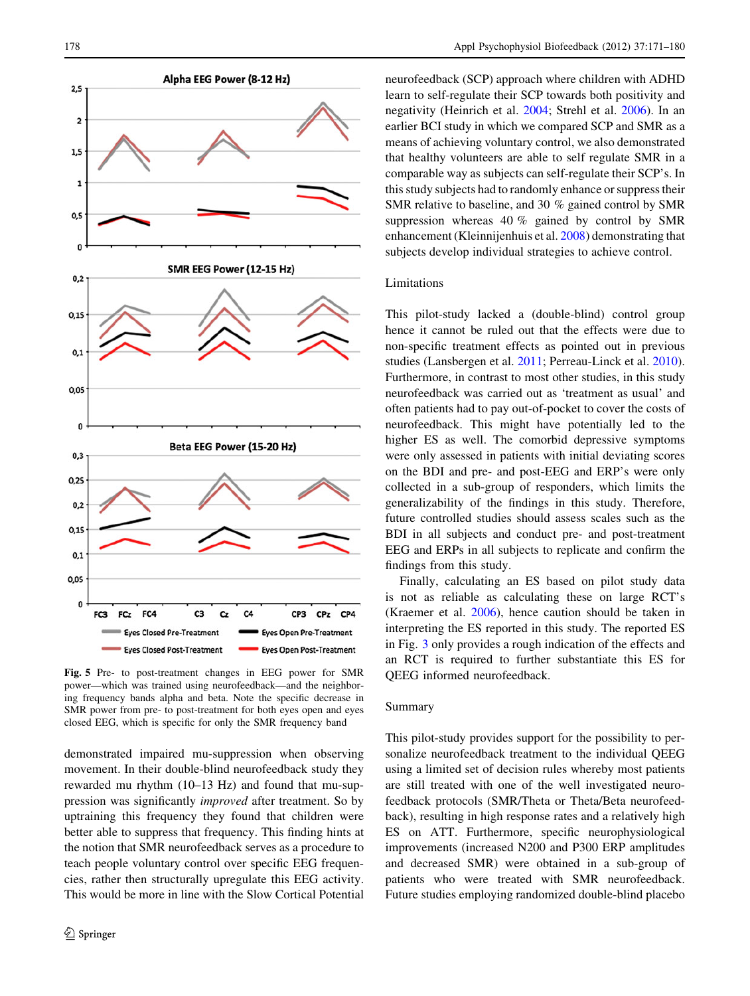<span id="page-7-0"></span>

Fig. 5 Pre- to post-treatment changes in EEG power for SMR power—which was trained using neurofeedback—and the neighboring frequency bands alpha and beta. Note the specific decrease in SMR power from pre- to post-treatment for both eyes open and eyes closed EEG, which is specific for only the SMR frequency band

demonstrated impaired mu-suppression when observing movement. In their double-blind neurofeedback study they rewarded mu rhythm (10–13 Hz) and found that mu-suppression was significantly improved after treatment. So by uptraining this frequency they found that children were better able to suppress that frequency. This finding hints at the notion that SMR neurofeedback serves as a procedure to teach people voluntary control over specific EEG frequencies, rather then structurally upregulate this EEG activity. This would be more in line with the Slow Cortical Potential neurofeedback (SCP) approach where children with ADHD learn to self-regulate their SCP towards both positivity and negativity (Heinrich et al. [2004;](#page-8-0) Strehl et al. [2006\)](#page-9-0). In an earlier BCI study in which we compared SCP and SMR as a means of achieving voluntary control, we also demonstrated that healthy volunteers are able to self regulate SMR in a comparable way as subjects can self-regulate their SCP's. In this study subjects had to randomly enhance or suppress their SMR relative to baseline, and 30 % gained control by SMR suppression whereas 40 % gained by control by SMR enhancement (Kleinnijenhuis et al. [2008](#page-8-0)) demonstrating that subjects develop individual strategies to achieve control.

## Limitations

This pilot-study lacked a (double-blind) control group hence it cannot be ruled out that the effects were due to non-specific treatment effects as pointed out in previous studies (Lansbergen et al. [2011](#page-8-0); Perreau-Linck et al. [2010](#page-9-0)). Furthermore, in contrast to most other studies, in this study neurofeedback was carried out as 'treatment as usual' and often patients had to pay out-of-pocket to cover the costs of neurofeedback. This might have potentially led to the higher ES as well. The comorbid depressive symptoms were only assessed in patients with initial deviating scores on the BDI and pre- and post-EEG and ERP's were only collected in a sub-group of responders, which limits the generalizability of the findings in this study. Therefore, future controlled studies should assess scales such as the BDI in all subjects and conduct pre- and post-treatment EEG and ERPs in all subjects to replicate and confirm the findings from this study.

Finally, calculating an ES based on pilot study data is not as reliable as calculating these on large RCT's (Kraemer et al. [2006](#page-8-0)), hence caution should be taken in interpreting the ES reported in this study. The reported ES in Fig. [3](#page-5-0) only provides a rough indication of the effects and an RCT is required to further substantiate this ES for QEEG informed neurofeedback.

## Summary

This pilot-study provides support for the possibility to personalize neurofeedback treatment to the individual QEEG using a limited set of decision rules whereby most patients are still treated with one of the well investigated neurofeedback protocols (SMR/Theta or Theta/Beta neurofeedback), resulting in high response rates and a relatively high ES on ATT. Furthermore, specific neurophysiological improvements (increased N200 and P300 ERP amplitudes and decreased SMR) were obtained in a sub-group of patients who were treated with SMR neurofeedback. Future studies employing randomized double-blind placebo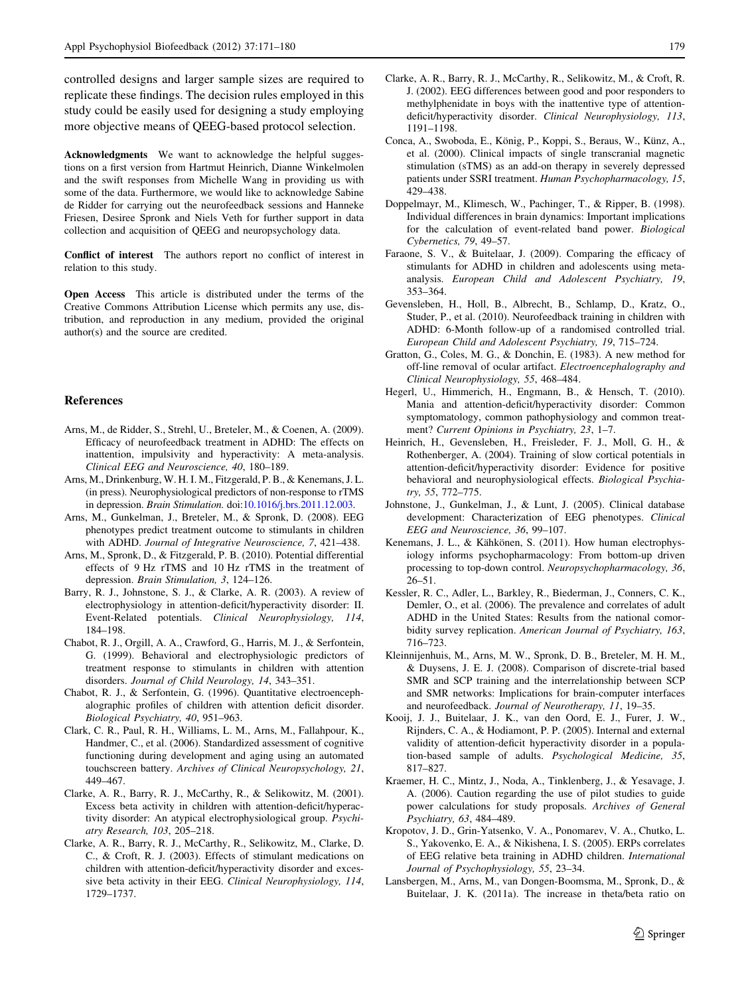<span id="page-8-0"></span>controlled designs and larger sample sizes are required to replicate these findings. The decision rules employed in this study could be easily used for designing a study employing more objective means of QEEG-based protocol selection.

Acknowledgments We want to acknowledge the helpful suggestions on a first version from Hartmut Heinrich, Dianne Winkelmolen and the swift responses from Michelle Wang in providing us with some of the data. Furthermore, we would like to acknowledge Sabine de Ridder for carrying out the neurofeedback sessions and Hanneke Friesen, Desiree Spronk and Niels Veth for further support in data collection and acquisition of QEEG and neuropsychology data.

Conflict of interest The authors report no conflict of interest in relation to this study.

Open Access This article is distributed under the terms of the Creative Commons Attribution License which permits any use, distribution, and reproduction in any medium, provided the original author(s) and the source are credited.

#### References

- Arns, M., de Ridder, S., Strehl, U., Breteler, M., & Coenen, A. (2009). Efficacy of neurofeedback treatment in ADHD: The effects on inattention, impulsivity and hyperactivity: A meta-analysis. Clinical EEG and Neuroscience, 40, 180–189.
- Arns, M., Drinkenburg, W. H. I. M., Fitzgerald, P. B., & Kenemans, J. L. (in press). Neurophysiological predictors of non-response to rTMS in depression. Brain Stimulation. doi[:10.1016/j.brs.2011.12.003](http://dx.doi.org/10.1016/j.brs.2011.12.003).
- Arns, M., Gunkelman, J., Breteler, M., & Spronk, D. (2008). EEG phenotypes predict treatment outcome to stimulants in children with ADHD. Journal of Integrative Neuroscience, 7, 421–438.
- Arns, M., Spronk, D., & Fitzgerald, P. B. (2010). Potential differential effects of 9 Hz rTMS and 10 Hz rTMS in the treatment of depression. Brain Stimulation, 3, 124–126.
- Barry, R. J., Johnstone, S. J., & Clarke, A. R. (2003). A review of electrophysiology in attention-deficit/hyperactivity disorder: II. Event-Related potentials. Clinical Neurophysiology, 114, 184–198.
- Chabot, R. J., Orgill, A. A., Crawford, G., Harris, M. J., & Serfontein, G. (1999). Behavioral and electrophysiologic predictors of treatment response to stimulants in children with attention disorders. Journal of Child Neurology, 14, 343–351.
- Chabot, R. J., & Serfontein, G. (1996). Quantitative electroencephalographic profiles of children with attention deficit disorder. Biological Psychiatry, 40, 951–963.
- Clark, C. R., Paul, R. H., Williams, L. M., Arns, M., Fallahpour, K., Handmer, C., et al. (2006). Standardized assessment of cognitive functioning during development and aging using an automated touchscreen battery. Archives of Clinical Neuropsychology, 21, 449–467.
- Clarke, A. R., Barry, R. J., McCarthy, R., & Selikowitz, M. (2001). Excess beta activity in children with attention-deficit/hyperactivity disorder: An atypical electrophysiological group. Psychiatry Research, 103, 205–218.
- Clarke, A. R., Barry, R. J., McCarthy, R., Selikowitz, M., Clarke, D. C., & Croft, R. J. (2003). Effects of stimulant medications on children with attention-deficit/hyperactivity disorder and excessive beta activity in their EEG. Clinical Neurophysiology, 114, 1729–1737.
- Clarke, A. R., Barry, R. J., McCarthy, R., Selikowitz, M., & Croft, R. J. (2002). EEG differences between good and poor responders to methylphenidate in boys with the inattentive type of attentiondeficit/hyperactivity disorder. Clinical Neurophysiology, 113, 1191–1198.
- Conca, A., Swoboda, E., König, P., Koppi, S., Beraus, W., Künz, A., et al. (2000). Clinical impacts of single transcranial magnetic stimulation (sTMS) as an add-on therapy in severely depressed patients under SSRI treatment. Human Psychopharmacology, 15, 429–438.
- Doppelmayr, M., Klimesch, W., Pachinger, T., & Ripper, B. (1998). Individual differences in brain dynamics: Important implications for the calculation of event-related band power. Biological Cybernetics, 79, 49–57.
- Faraone, S. V., & Buitelaar, J. (2009). Comparing the efficacy of stimulants for ADHD in children and adolescents using metaanalysis. European Child and Adolescent Psychiatry, 19, 353–364.
- Gevensleben, H., Holl, B., Albrecht, B., Schlamp, D., Kratz, O., Studer, P., et al. (2010). Neurofeedback training in children with ADHD: 6-Month follow-up of a randomised controlled trial. European Child and Adolescent Psychiatry, 19, 715–724.
- Gratton, G., Coles, M. G., & Donchin, E. (1983). A new method for off-line removal of ocular artifact. Electroencephalography and Clinical Neurophysiology, 55, 468–484.
- Hegerl, U., Himmerich, H., Engmann, B., & Hensch, T. (2010). Mania and attention-deficit/hyperactivity disorder: Common symptomatology, common pathophysiology and common treatment? Current Opinions in Psychiatry, 23, 1–7.
- Heinrich, H., Gevensleben, H., Freisleder, F. J., Moll, G. H., & Rothenberger, A. (2004). Training of slow cortical potentials in attention-deficit/hyperactivity disorder: Evidence for positive behavioral and neurophysiological effects. Biological Psychiatry, 55, 772–775.
- Johnstone, J., Gunkelman, J., & Lunt, J. (2005). Clinical database development: Characterization of EEG phenotypes. Clinical EEG and Neuroscience, 36, 99–107.
- Kenemans, J. L., & Kähkönen, S. (2011). How human electrophysiology informs psychopharmacology: From bottom-up driven processing to top-down control. Neuropsychopharmacology, 36, 26–51.
- Kessler, R. C., Adler, L., Barkley, R., Biederman, J., Conners, C. K., Demler, O., et al. (2006). The prevalence and correlates of adult ADHD in the United States: Results from the national comorbidity survey replication. American Journal of Psychiatry, 163, 716–723.
- Kleinnijenhuis, M., Arns, M. W., Spronk, D. B., Breteler, M. H. M., & Duysens, J. E. J. (2008). Comparison of discrete-trial based SMR and SCP training and the interrelationship between SCP and SMR networks: Implications for brain-computer interfaces and neurofeedback. Journal of Neurotherapy, 11, 19–35.
- Kooij, J. J., Buitelaar, J. K., van den Oord, E. J., Furer, J. W., Rijnders, C. A., & Hodiamont, P. P. (2005). Internal and external validity of attention-deficit hyperactivity disorder in a population-based sample of adults. Psychological Medicine, 35, 817–827.
- Kraemer, H. C., Mintz, J., Noda, A., Tinklenberg, J., & Yesavage, J. A. (2006). Caution regarding the use of pilot studies to guide power calculations for study proposals. Archives of General Psychiatry, 63, 484–489.
- Kropotov, J. D., Grin-Yatsenko, V. A., Ponomarev, V. A., Chutko, L. S., Yakovenko, E. A., & Nikishena, I. S. (2005). ERPs correlates of EEG relative beta training in ADHD children. International Journal of Psychophysiology, 55, 23–34.
- Lansbergen, M., Arns, M., van Dongen-Boomsma, M., Spronk, D., & Buitelaar, J. K. (2011a). The increase in theta/beta ratio on